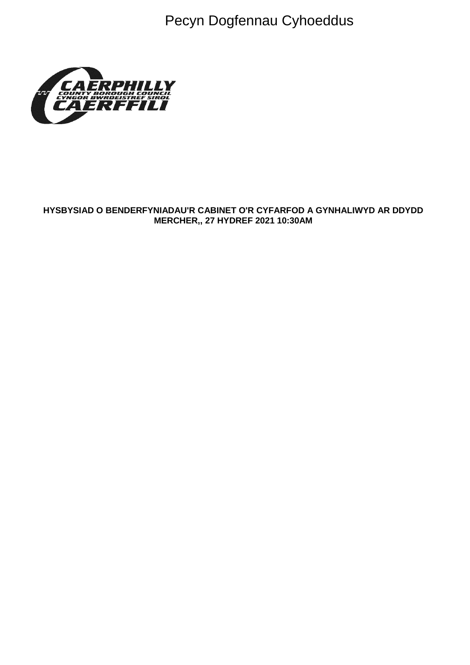Pecyn Dogfennau Cyhoeddus



### HYSBYSIAD O BENDERFYNIADAU'R CABINET O'R CYFARFOD A GYNHALIWYD AR DDYDD MERCHER,, 27 HYDREF 2021 10:30AM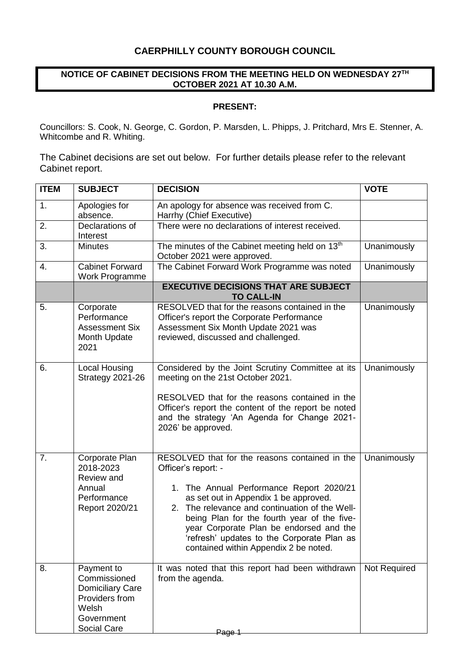# **CAERPHILLY COUNTY BOROUGH COUNCIL**

### **NOTICE OF CABINET DECISIONS FROM THE MEETING HELD ON WEDNESDAY 27TH OCTOBER 2021 AT 10.30 A.M.**

#### **PRESENT:**

Councillors: S. Cook, N. George, C. Gordon, P. Marsden, L. Phipps, J. Pritchard, Mrs E. Stenner, A. Whitcombe and R. Whiting.

The Cabinet decisions are set out below. For further details please refer to the relevant Cabinet report.

| <b>ITEM</b> | <b>SUBJECT</b>                                                                                                | <b>DECISION</b>                                                                                                                                                                                                                                                                                                                                                                               | <b>VOTE</b>  |
|-------------|---------------------------------------------------------------------------------------------------------------|-----------------------------------------------------------------------------------------------------------------------------------------------------------------------------------------------------------------------------------------------------------------------------------------------------------------------------------------------------------------------------------------------|--------------|
| 1.          | Apologies for<br>absence.                                                                                     | An apology for absence was received from C.<br>Harrhy (Chief Executive)                                                                                                                                                                                                                                                                                                                       |              |
| 2.          | Declarations of<br>Interest                                                                                   | There were no declarations of interest received.                                                                                                                                                                                                                                                                                                                                              |              |
| 3.          | <b>Minutes</b>                                                                                                | The minutes of the Cabinet meeting held on 13 <sup>th</sup><br>October 2021 were approved.                                                                                                                                                                                                                                                                                                    | Unanimously  |
| 4.          | <b>Cabinet Forward</b><br><b>Work Programme</b>                                                               | The Cabinet Forward Work Programme was noted                                                                                                                                                                                                                                                                                                                                                  | Unanimously  |
|             |                                                                                                               | <b>EXECUTIVE DECISIONS THAT ARE SUBJECT</b><br><b>TO CALL-IN</b>                                                                                                                                                                                                                                                                                                                              |              |
| 5.          | Corporate<br>Performance<br><b>Assessment Six</b><br>Month Update<br>2021                                     | RESOLVED that for the reasons contained in the<br>Officer's report the Corporate Performance<br>Assessment Six Month Update 2021 was<br>reviewed, discussed and challenged.                                                                                                                                                                                                                   | Unanimously  |
| 6.          | Local Housing<br>Strategy 2021-26                                                                             | Considered by the Joint Scrutiny Committee at its<br>meeting on the 21st October 2021.<br>RESOLVED that for the reasons contained in the<br>Officer's report the content of the report be noted<br>and the strategy 'An Agenda for Change 2021-<br>2026' be approved.                                                                                                                         | Unanimously  |
| 7.          | Corporate Plan<br>2018-2023<br>Review and<br>Annual<br>Performance<br>Report 2020/21                          | RESOLVED that for the reasons contained in the<br>Officer's report: -<br>1. The Annual Performance Report 2020/21<br>as set out in Appendix 1 be approved.<br>2. The relevance and continuation of the Well-<br>being Plan for the fourth year of the five-<br>year Corporate Plan be endorsed and the<br>'refresh' updates to the Corporate Plan as<br>contained within Appendix 2 be noted. | Unanimously  |
| 8.          | Payment to<br>Commissioned<br><b>Domiciliary Care</b><br>Providers from<br>Welsh<br>Government<br>Social Care | It was noted that this report had been withdrawn<br>from the agenda.<br>Page 1                                                                                                                                                                                                                                                                                                                | Not Required |